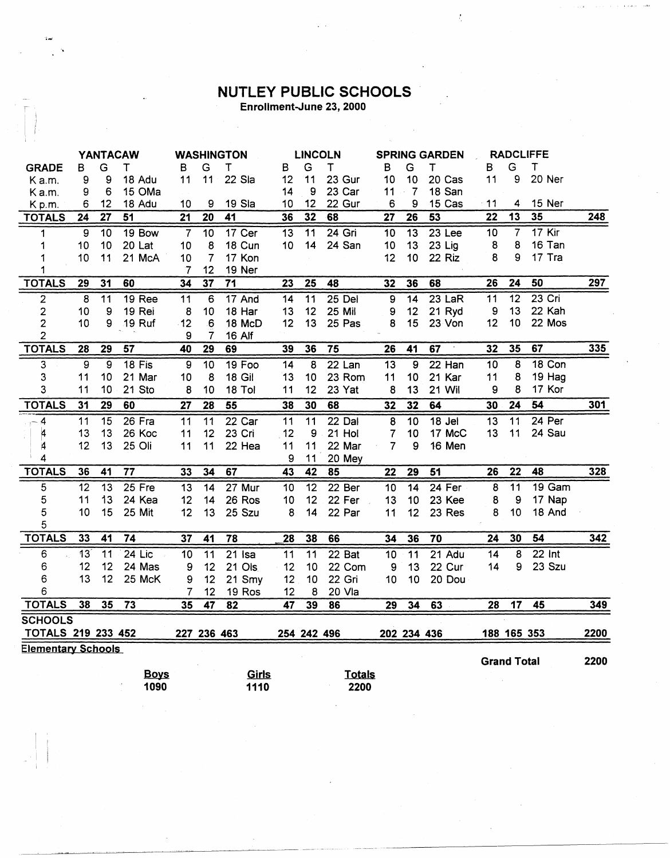## **NUTLEY PUBLIC SCHOOLS**<br>Enrollment-June 23, 2000

 $\frac{1}{\lambda}$ 

|                           | <b>YANTACAW</b> |                 |                 | <b>WASHINGTON</b> |                 |                 | <b>LINCOLN</b>  |                 |               | <b>SPRING GARDEN</b> |                 |                   | <b>RADCLIFFE</b> |                    |               |      |
|---------------------------|-----------------|-----------------|-----------------|-------------------|-----------------|-----------------|-----------------|-----------------|---------------|----------------------|-----------------|-------------------|------------------|--------------------|---------------|------|
| <b>GRADE</b>              | В               | G               | Τ               | В                 | G               | $\mathsf T$     | B               | G               | T             | $\mathsf B$          | G               | Т                 | B                | G                  | $\tau$        |      |
| K a.m.                    | 9               | 9               | 18 Adu          | 11                | 11              | 22 Sla          | 12              | 11              | 23 Gur        | 10                   | 10              | 20 Cas            | 11               | 9                  | 20 Ner        |      |
| K a.m.                    | 9               | 6               | 15 OMa          |                   |                 |                 | 14              | 9               | 23 Car        | 11                   | $-7$            | 18 San            |                  |                    |               |      |
| Kp.m.                     | 6               | 12              | 18 Adu          | 10                | 9               | 19 Sla          | 10              | 12              | 22 Gur        | 6                    | 9               | 15 Cas            | -11              | 4                  | 15 Ner        |      |
| <b>TOTALS</b>             | $\overline{24}$ | $\overline{27}$ | 51              | 21                | $\overline{20}$ | 41              | 36              | 32              | 68            | $\overline{27}$      | 26              | 53                | $\overline{22}$  | 13                 | 35            | 248  |
| $\mathbf 1$               | 9               | 10              | 19 Bow          | $\overline{7}$    | $\overline{10}$ | 17 Cer          | $\overline{13}$ | $\overline{11}$ | $24$ Gri      | 10                   | $\overline{13}$ | 23 <sub>Lee</sub> | 10               | $\overline{7}$     | $17$ Kir      |      |
| 1                         | 10              | 10              | 20 Lat          | 10                | 8               | 18 Cun          | 10              | 14              | 24 San        | 10                   | 13              | 23 Lig            | 8                | 8                  | 16 Tan        |      |
| 1                         | 10              | 11              | 21 McA          | 10                | $\overline{7}$  | 17 Kon          |                 |                 |               | 12                   | 10              | 22 Riz            | 8                | 9                  | 17 Tra        |      |
| 1                         |                 |                 |                 | 7                 | 12              | 19 Ner          |                 |                 |               |                      |                 |                   |                  |                    |               |      |
| <b>TOTALS</b>             | 29              | 31              | 60              | 34                | $\overline{37}$ | $\overline{71}$ | 23              | $\overline{25}$ | 48            | 32                   | 36              | 68                | 26               | 24                 | 50            | 297  |
| 2                         | 8               | $\overline{11}$ | <b>19 Ree</b>   | 11                | 6               | 17 And          | 14              | $\overline{11}$ | $25$ Del      | 9                    | $\overline{14}$ | $23$ LaR          | $\overline{11}$  | $\overline{12}$    | $23$ Cri      |      |
| $\mathbf{2}$              | 10              | 9               | 19 Rei          | 8                 | 10              | 18 Har          | 13              | 12              | 25 Mil        | 9                    | 12              | 21 Ryd            | 9                | 13                 | 22 Kah        |      |
| $\overline{c}$            | 10              | 9               | 19 Ruf          | 12                | 6               | 18 McD          | 12              | 13              | 25 Pas        | 8                    | 15              | 23 Von            | 12               | 10                 | 22 Mos        |      |
| $\overline{2}$            |                 |                 |                 | 9                 | $\overline{7}$  | <b>16 Alf</b>   |                 |                 |               |                      |                 |                   |                  |                    |               |      |
| <b>TOTALS</b>             | 28              | 29              | $\overline{57}$ | 40                | 29              | 69              | 39              | 36              | 75            | $\overline{26}$      | 41              | 67                | 32               | 35                 | 67            | 335  |
| 3                         | 9               | 9               | $18$ Fis        | 9                 | 10              | 19 Foo          | 14              | $\overline{8}$  | $22$ Lan      | 13                   | $\overline{9}$  | $22$ Han          | 10               | $\overline{8}$     | <b>18 Con</b> |      |
| 3                         | 11              | 10              | 21 Mar          | 10                | 8               | 18 Gil          | 13              | 10              | 23 Rom        | 11                   | 10              | 21 Kar            | 11               | 8                  | 19 Hag        |      |
| 3                         | 11              | 10              | 21 Sto          | 8                 | 10              | 18 Tol          | 11              | 12              | 23 Yat        | 8                    | 13              | <b>21 Wil</b>     | 9                | 8                  | 17 Kor        |      |
| <b>TOTALS</b>             | 3 <sub>1</sub>  | 29              | 60              | 27                | 28              | $\overline{55}$ | 38              | 30              | 68            | 32                   | 32              | 64                | 30               | 24                 | 54            | 301  |
| $-4$                      | 11              | 15              | 26 Fra          | $\overline{11}$   | $\overline{11}$ | $22$ Car        | 11              | 11              | 22 Dal        | $\overline{8}$       | 10              | 18 Jel            | 13               | 11                 | 24 Per        |      |
| 4                         | 13              | 13              | 26 Koc          | 11                | 12              | 23 Cri          | 12              | 9               | 21 Hol        | 7                    | 10              | 17 McC            | 13               | 11                 | 24 Sau        |      |
| $\boldsymbol{A}$          | 12              | 13              | 25 Oli          | 11                | 11              | 22 Hea          | 11              | 11              | 22 Mar        | $\overline{7}$       | 9               | 16 Men            |                  |                    |               |      |
| 4                         |                 |                 |                 |                   |                 |                 | 9               | 11              | 20 Mey        |                      |                 |                   |                  |                    |               |      |
| <b>TOTALS</b>             | 36              | 41              | $\overline{77}$ | 33                | 34              | 67              | 43              | 42              | 85            | 22                   | 29              | 51                | 26               | 22                 | 48            | 328  |
| 5                         | 12              | 13              | 25 Fre          | 13                | 14              | 27 Mur          | 10              | $\overline{12}$ | 22 Ber        | 10                   | $\overline{14}$ | $24$ Fer          | 8                | 11                 | 19 Gam        |      |
| 5                         | 11              | 13              | 24 Kea          | 12                | 14              | 26 Ros          | 10              | 12              | 22 Fer        | 13                   | 10              | 23 Kee            | 8                | 9                  | 17 Nap        |      |
| 5                         | 10              | 15              | 25 Mit          | 12                | 13              | 25 Szu          | 8               | 14              | 22 Par        | 11                   | 12              | 23 Res            | 8                | 10                 | 18 And        |      |
| 5                         |                 |                 |                 |                   |                 |                 |                 |                 |               |                      |                 |                   |                  |                    |               |      |
| <b>TOTALS</b>             | 33              | 41              | 74              | 37                | 41              | 78              | 28              | 38              | 66            | 34                   | 36              | $\overline{70}$   | 24               | 30                 | 54            | 342  |
| 6                         | $\overline{13}$ | $\overline{11}$ | $24$ Lic        | 10                | 11              | $21$ Isa        | 11              | 11              | $22$ Bat      | 10                   | 11              | $21$ Adu          | 14               | 8                  | $22$ Int      |      |
| 6                         | 12              | 12              | 24 Mas          | 9                 | 12              | 21 Ols          | 12              | 10              | 22 Com        | 9                    | 13              | 22 Cur            | 14               | 9                  | 23 Szu        |      |
| 6                         | 13              | 12              | 25 McK          | 9                 | 12              | 21 Smy          | 12              | 10              | 22 Gri        | 10                   | 10              | 20 Dou            |                  |                    |               |      |
| 6                         |                 |                 |                 | 7                 | 12              | 19 Ros          | 12              | 8               | 20 Vla        |                      |                 |                   |                  |                    |               |      |
| <b>TOTALS</b>             | 38              | 35              | 73              | 35                | 47              | 82              | $\overline{47}$ | 39              | 86            | 29                   | 34              | 63                | 28               | 17                 | 45            | 349  |
| <b>SCHOOLS</b>            |                 |                 |                 |                   |                 |                 |                 |                 |               |                      |                 |                   |                  |                    |               |      |
| <b>TOTALS 219 233 452</b> |                 |                 |                 |                   | 227 236 463     |                 |                 | 254 242 496     |               |                      | 202 234 436     |                   |                  | 188 165 353        |               | 2200 |
| <b>Elementary Schools</b> |                 |                 |                 |                   |                 |                 |                 |                 |               |                      |                 |                   |                  |                    |               |      |
|                           |                 |                 |                 |                   |                 |                 |                 |                 |               |                      |                 |                   |                  | <b>Grand Total</b> |               | 2200 |
|                           |                 |                 | <b>Boys</b>     |                   |                 | <b>Girls</b>    |                 |                 | <b>Totals</b> |                      |                 |                   |                  |                    |               |      |
|                           |                 |                 | 1090            |                   |                 | 1110            |                 |                 | 2200          |                      |                 |                   |                  |                    |               |      |